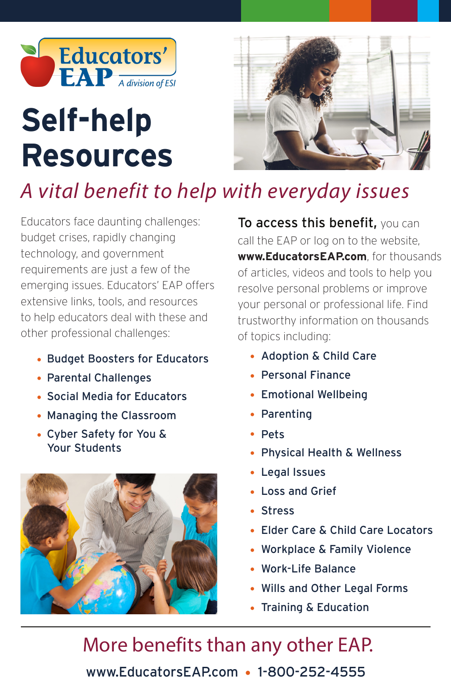

# **Resources Self-help**



## *A vital benefit to help with everyday issues*

Educators face daunting challenges: budget crises, rapidly changing technology, and government requirements are just a few of the emerging issues. Educators' EAP offers extensive links, tools, and resources to help educators deal with these and other professional challenges:

- Budget Boosters for Educators
- Parental Challenges
- Social Media for Educators
- Managing the Classroom
- Cyber Safety for You & Your Students



To access this benefit, you can call the EAP or log on to the website, **www.EducatorsEAP.com**, for thousands of articles, videos and tools to help you resolve personal problems or improve your personal or professional life. Find trustworthy information on thousands of topics including:

- Adoption & Child Care
- Personal Finance
- Emotional Wellbeing
- Parenting
- Pets
- Physical Health & Wellness
- Legal Issues
- Loss and Grief
- Stress
- Elder Care & Child Care Locators
- Workplace & Family Violence
- Work-Life Balance
- Wills and Other Legal Forms
- Training & Education

More benefits than any other EAP. www.EducatorsEAP.com • 1-800-252-4555